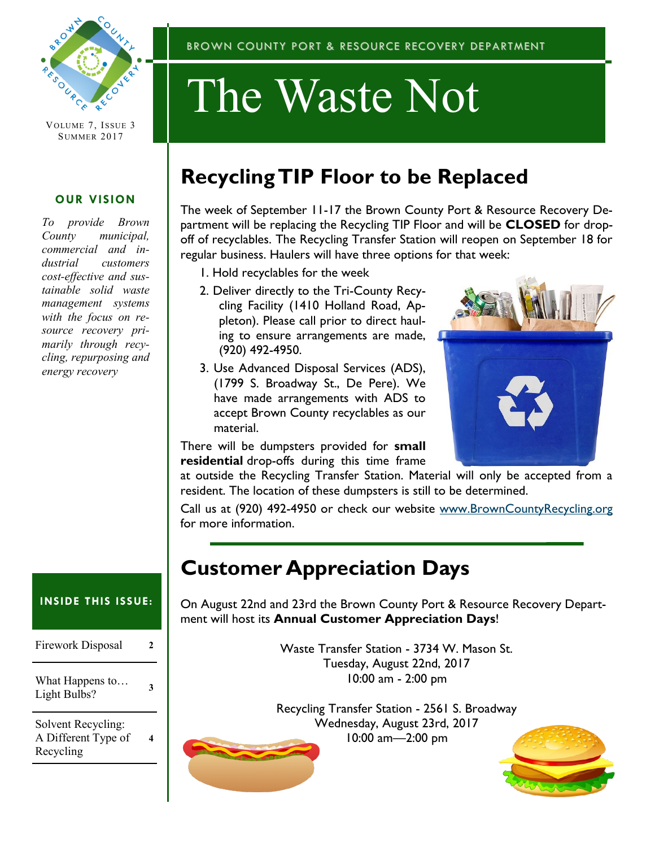

VOLUME 7, ISSUE 3 SUMMER 2017

### **OUR VISION**

*To provide Brown County municipal, commercial and industrial customers cost-effective and sustainable solid waste management systems with the focus on resource recovery primarily through recycling, repurposing and energy recovery*

### BROWN COUNTY PORT & RESOURCE RECOVERY DEPARTMENT

# The Waste Not

## **Recycling TIP Floor to be Replaced**

The week of September 11-17 the Brown County Port & Resource Recovery Department will be replacing the Recycling TIP Floor and will be **CLOSED** for dropoff of recyclables. The Recycling Transfer Station will reopen on September 18 for regular business. Haulers will have three options for that week:

- 1. Hold recyclables for the week
- 2. Deliver directly to the Tri-County Recycling Facility (1410 Holland Road, Appleton). Please call prior to direct hauling to ensure arrangements are made, (920) 492-4950.
- 3. Use Advanced Disposal Services (ADS), (1799 S. Broadway St., De Pere). We have made arrangements with ADS to accept Brown County recyclables as our material.



There will be dumpsters provided for **small residential** drop-offs during this time frame

at outside the Recycling Transfer Station. Material will only be accepted from a resident. The location of these dumpsters is still to be determined.

Call us at (920) 492-4950 or check our website [www.BrownCountyRecycling.org](http://www.BrownCountyRecycling.org) for more information.

### **Customer Appreciation Days**

On August 22nd and 23rd the Brown County Port & Resource Recovery Department will host its **Annual Customer Appreciation Days**!

> Waste Transfer Station - 3734 W. Mason St. Tuesday, August 22nd, 2017 10:00 am - 2:00 pm

Recycling Transfer Station - 2561 S. Broadway Wednesday, August 23rd, 2017 10:00 am—2:00 pm



### **INSIDE THIS ISSUE:**

| Firework Disposal               | 2 |
|---------------------------------|---|
| What Happens to<br>Light Bulbs? | 3 |
| Solvent Recycling:              |   |

A Different Type of Recycling **4**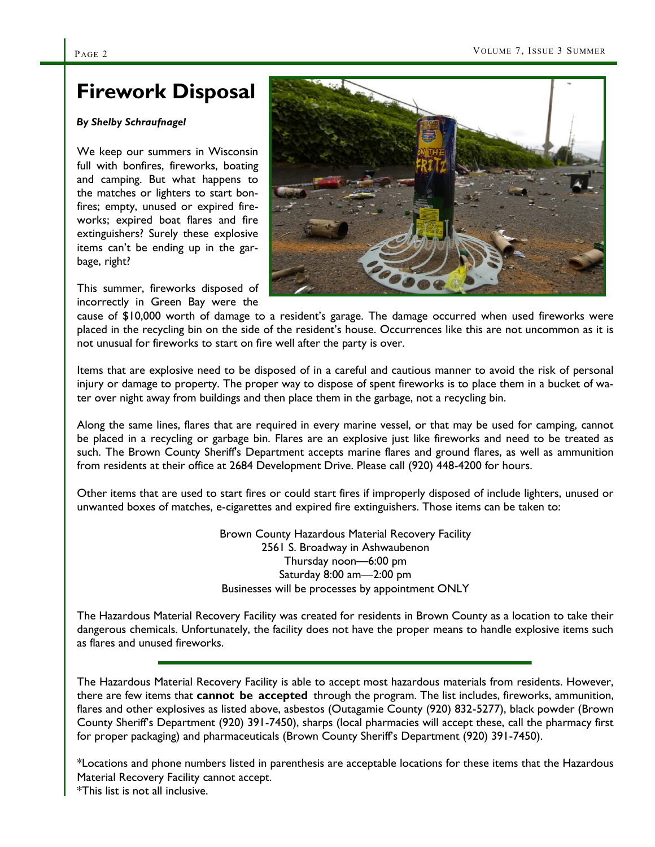### **Firework Disposal**

#### *By Shelby Schraufnagel*

We keep our summers in Wisconsin full with bonfires, fireworks, boating and camping. But what happens to the matches or lighters to start bonfires; empty, unused or expired fireworks; expired boat flares and fire extinguishers? Surely these explosive items can't be ending up in the garbage, right?

This summer, fireworks disposed of incorrectly in Green Bay were the



cause of \$10,000 worth of damage to a resident's garage. The damage occurred when used fireworks were placed in the recycling bin on the side of the resident's house. Occurrences like this are not uncommon as it is not unusual for fireworks to start on fire well after the party is over.

Items that are explosive need to be disposed of in a careful and cautious manner to avoid the risk of personal injury or damage to property. The proper way to dispose of spent fireworks is to place them in a bucket of water over night away from buildings and then place them in the garbage, not a recycling bin.

Along the same lines, flares that are required in every marine vessel, or that may be used for camping, cannot be placed in a recycling or garbage bin. Flares are an explosive just like fireworks and need to be treated as such. The Brown County Sheriff's Department accepts marine flares and ground flares, as well as ammunition from residents at their office at 2684 Development Drive. Please call (920) 448-4200 for hours.

Other items that are used to start fires or could start fires if improperly disposed of include lighters, unused or unwanted boxes of matches, e-cigarettes and expired fire extinguishers. Those items can be taken to:

> Brown County Hazardous Material Recovery Facility 2561 S. Broadway in Ashwaubenon Thursday noon—6:00 pm Saturday 8:00 am—2:00 pm Businesses will be processes by appointment ONLY

The Hazardous Material Recovery Facility was created for residents in Brown County as a location to take their dangerous chemicals. Unfortunately, the facility does not have the proper means to handle explosive items such as flares and unused fireworks.

The Hazardous Material Recovery Facility is able to accept most hazardous materials from residents. However, there are few items that **cannot be accepted** through the program. The list includes, fireworks, ammunition, flares and other explosives as listed above, asbestos (Outagamie County (920) 832-5277), black powder (Brown County Sheriff's Department (920) 391-7450), sharps (local pharmacies will accept these, call the pharmacy first for proper packaging) and pharmaceuticals (Brown County Sheriff's Department (920) 391-7450).

\*Locations and phone numbers listed in parenthesis are acceptable locations for these items that the Hazardous Material Recovery Facility cannot accept. \*This list is not all inclusive.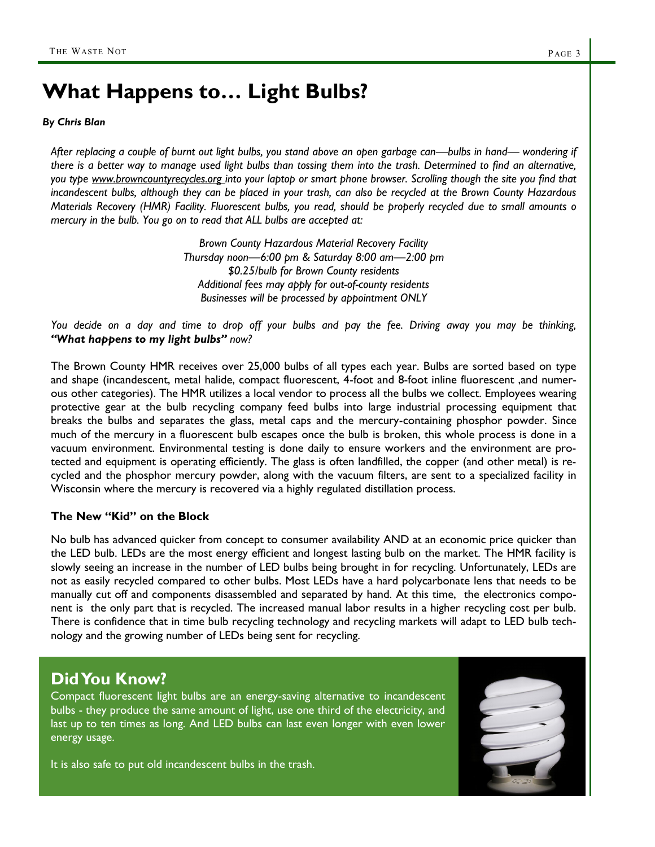### **What Happens to… Light Bulbs?**

#### *By Chris Blan*

*After replacing a couple of burnt out light bulbs, you stand above an open garbage can—bulbs in hand— wondering if there is a better way to manage used light bulbs than tossing them into the trash. Determined to find an alternative, you type www.browncountyrecycles.org into your laptop or smart phone browser. Scrolling though the site you find that incandescent bulbs, although they can be placed in your trash, can also be recycled at the Brown County Hazardous Materials Recovery (HMR) Facility. Fluorescent bulbs, you read, should be properly recycled due to small amounts o mercury in the bulb. You go on to read that ALL bulbs are accepted at:*

> *Brown County Hazardous Material Recovery Facility Thursday noon—6:00 pm & Saturday 8:00 am—2:00 pm \$0.25/bulb for Brown County residents Additional fees may apply for out-of-county residents Businesses will be processed by appointment ONLY*

*You decide on a day and time to drop off your bulbs and pay the fee. Driving away you may be thinking, "What happens to my light bulbs" now?*

The Brown County HMR receives over 25,000 bulbs of all types each year. Bulbs are sorted based on type and shape (incandescent, metal halide, compact fluorescent, 4-foot and 8-foot inline fluorescent ,and numerous other categories). The HMR utilizes a local vendor to process all the bulbs we collect. Employees wearing protective gear at the bulb recycling company feed bulbs into large industrial processing equipment that breaks the bulbs and separates the glass, metal caps and the mercury-containing phosphor powder. Since much of the mercury in a fluorescent bulb escapes once the bulb is broken, this whole process is done in a vacuum environment. Environmental testing is done daily to ensure workers and the environment are protected and equipment is operating efficiently. The glass is often landfilled, the copper (and other metal) is recycled and the phosphor mercury powder, along with the vacuum filters, are sent to a specialized facility in Wisconsin where the mercury is recovered via a highly regulated distillation process.

#### **The New "Kid" on the Block**

No bulb has advanced quicker from concept to consumer availability AND at an economic price quicker than the LED bulb. LEDs are the most energy efficient and longest lasting bulb on the market. The HMR facility is slowly seeing an increase in the number of LED bulbs being brought in for recycling. Unfortunately, LEDs are not as easily recycled compared to other bulbs. Most LEDs have a hard polycarbonate lens that needs to be manually cut off and components disassembled and separated by hand. At this time, the electronics component is the only part that is recycled. The increased manual labor results in a higher recycling cost per bulb. There is confidence that in time bulb recycling technology and recycling markets will adapt to LED bulb technology and the growing number of LEDs being sent for recycling.

### **Did You Know?**

Compact fluorescent light bulbs are an energy-saving alternative to incandescent bulbs - they produce the same amount of light, use one third of the electricity, and last up to ten times as long. And LED bulbs can last even longer with even lower energy usage.

It is also safe to put old incandescent bulbs in the trash.